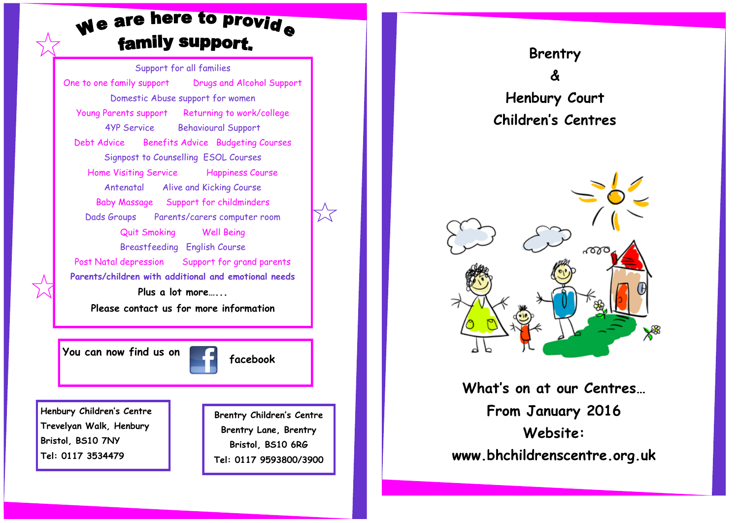# We are here to provide family support.

Support for all families One to one family support Drugs and Alcohol Support Domestic Abuse support for women Young Parents support Returning to work/college 4YP Service Behavioural Support Debt Advice Benefits Advice Budgeting Courses Signpost to Counselling ESOL Courses Home Visiting Service Happiness Course Antenatal Alive and Kicking Course Baby Massage Support for childminders Dads Groups Parents/carers computer room Quit Smoking Well Being Breastfeeding English Course Post Natal depression Support for grand parents **Parents/children with additional and emotional needs Plus a lot more…... Please contact us for more information**

**You can now find us on the facebook** 

**Henbury Children's Centre Trevelyan Walk, Henbury Bristol, BS10 7NY Tel: 0117 3534479**

**Brentry Children's Centre Brentry Lane, Brentry Bristol, BS10 6RG Tel: 0117 9593800/3900**





**What's on at our Centres… From January 2016 Website: www.bhchildrenscentre.org.uk**